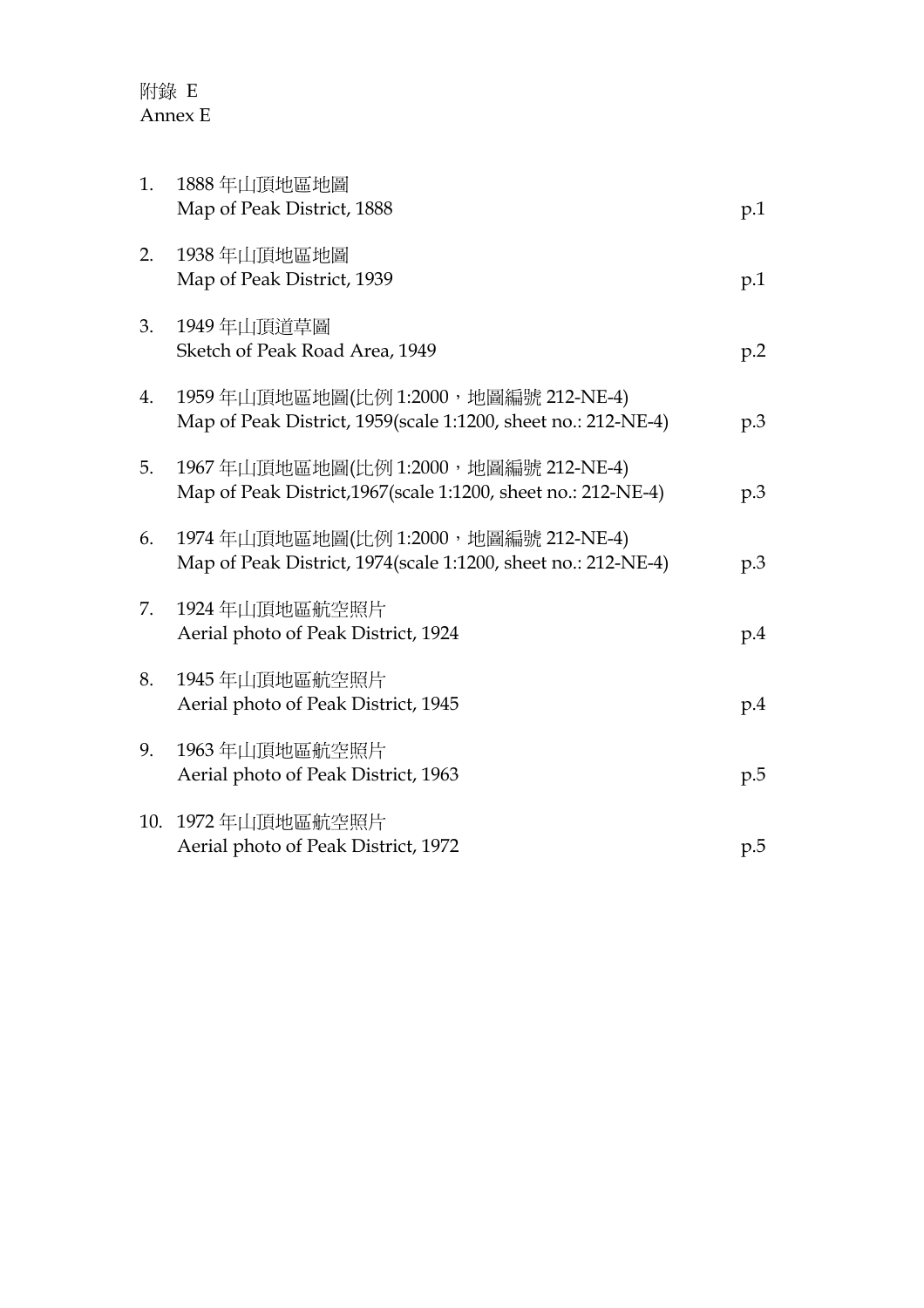| 1.  | 1888年山頂地區地圖<br>Map of Peak District, 1888                                                               | p.1 |
|-----|---------------------------------------------------------------------------------------------------------|-----|
| 2.  | 1938年山頂地區地圖<br>Map of Peak District, 1939                                                               | p.1 |
| 3.  | 1949年山頂道草圖<br>Sketch of Peak Road Area, 1949                                                            | p.2 |
| 4.  | 1959年山頂地區地圖(比例 1:2000, 地圖編號 212-NE-4)<br>Map of Peak District, 1959(scale 1:1200, sheet no.: 212-NE-4)  | p.3 |
| 5.  | 1967年山頂地區地圖(比例 1:2000, 地圖編號 212-NE-4)<br>Map of Peak District, 1967 (scale 1:1200, sheet no.: 212-NE-4) | p.3 |
| 6.  | 1974年山頂地區地圖(比例 1:2000, 地圖編號 212-NE-4)<br>Map of Peak District, 1974(scale 1:1200, sheet no.: 212-NE-4)  | p.3 |
| 7.  | 1924年山頂地區航空照片<br>Aerial photo of Peak District, 1924                                                    | p.4 |
| 8.  | 1945年山頂地區航空照片<br>Aerial photo of Peak District, 1945                                                    | p.4 |
| 9.  | 1963年山頂地區航空照片<br>Aerial photo of Peak District, 1963                                                    | p.5 |
| 10. | 1972年山頂地區航空照片<br>Aerial photo of Peak District, 1972                                                    | p.5 |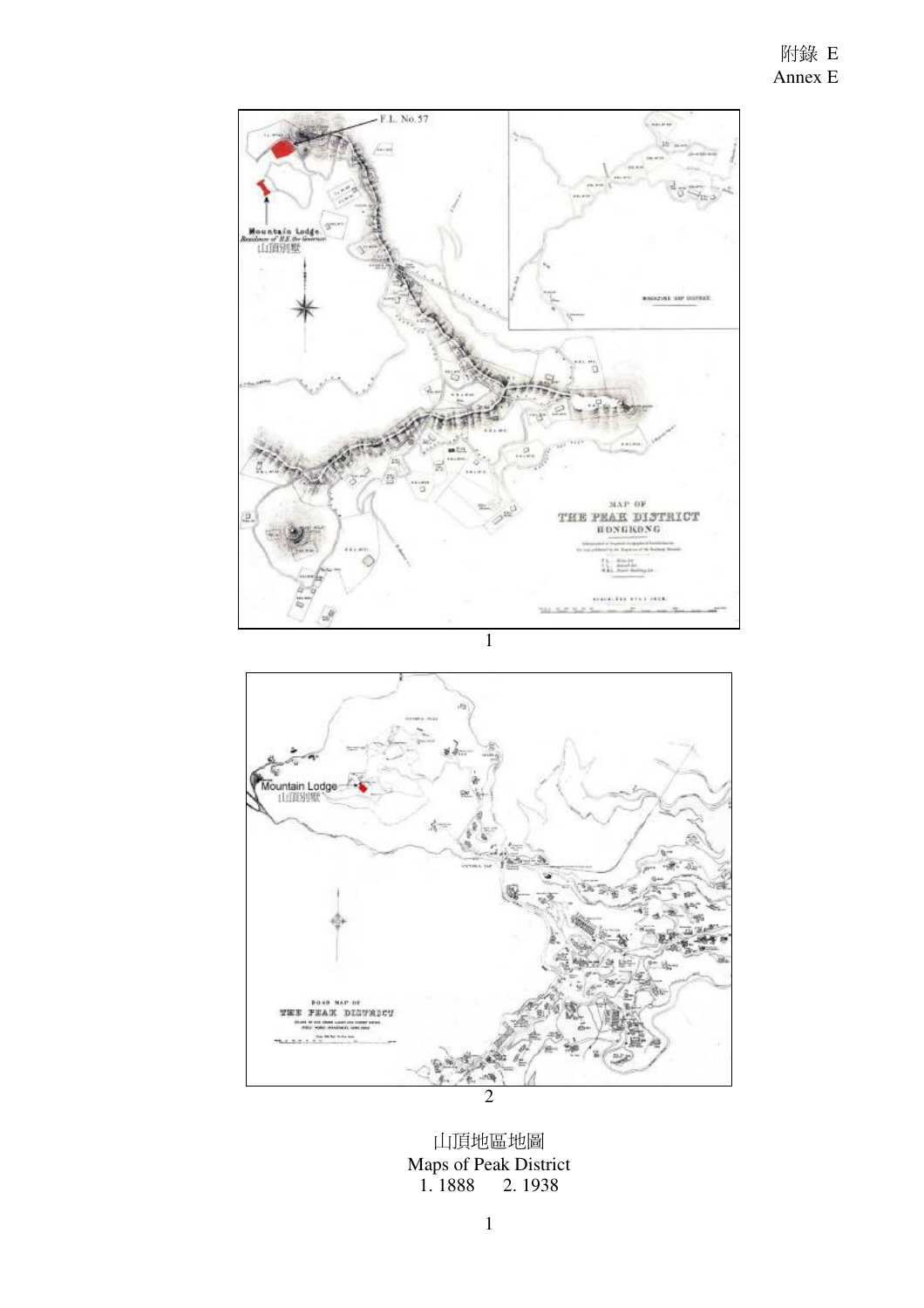



山頂地區地圖 Maps of Peak District 1. 1888 2. 1938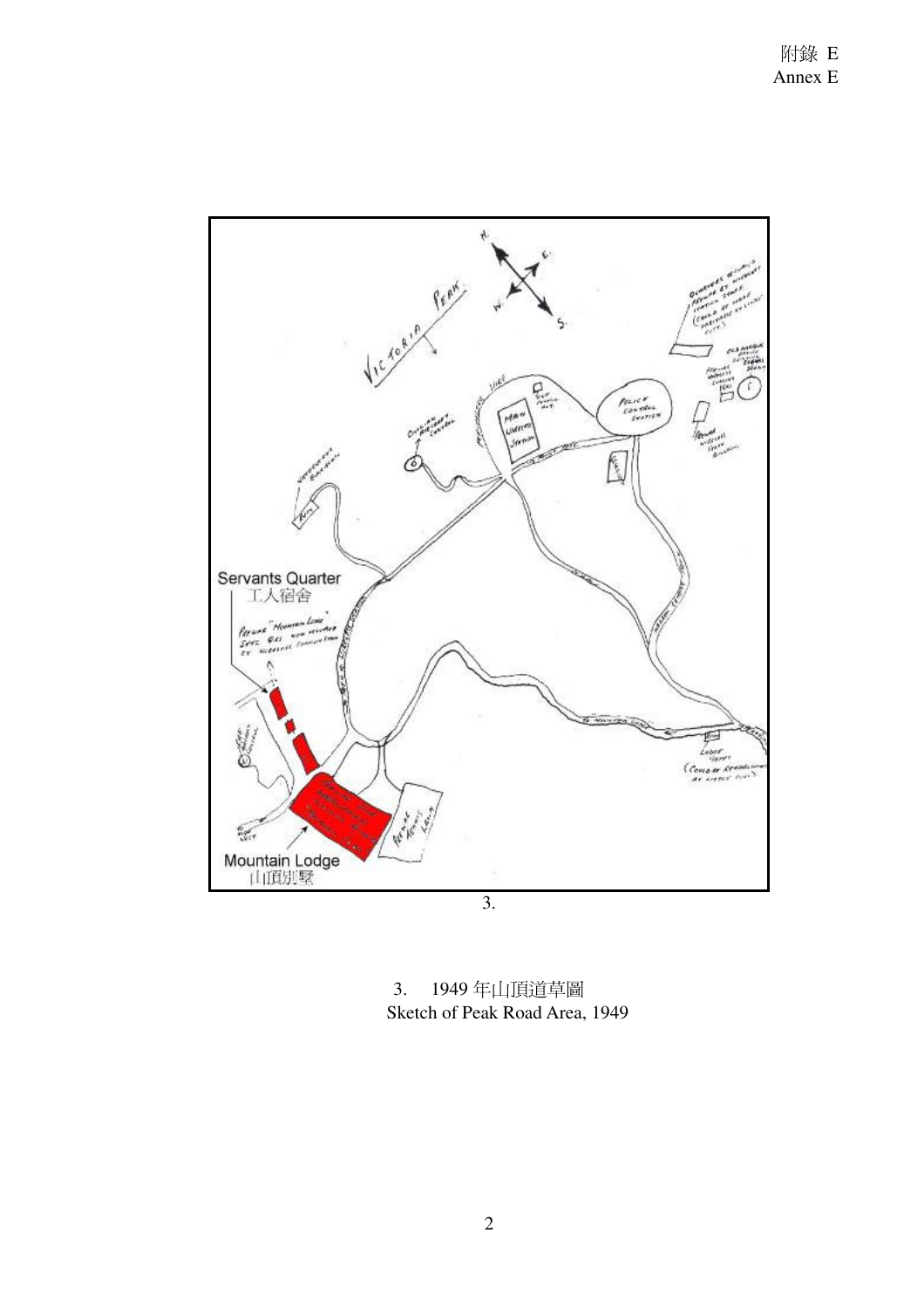

3. 1949 年山頂道草圖 Sketch of Peak Road Area, 1949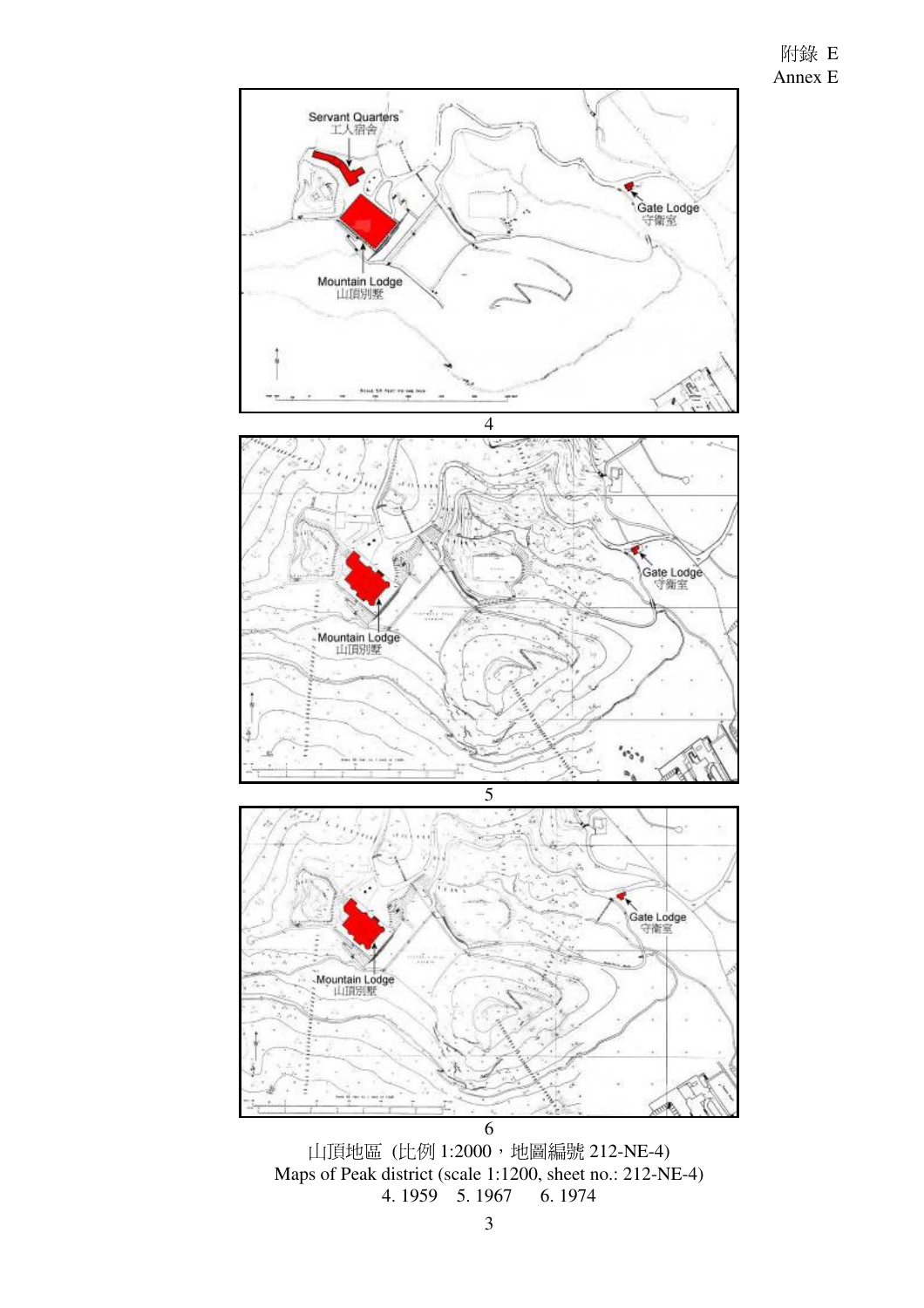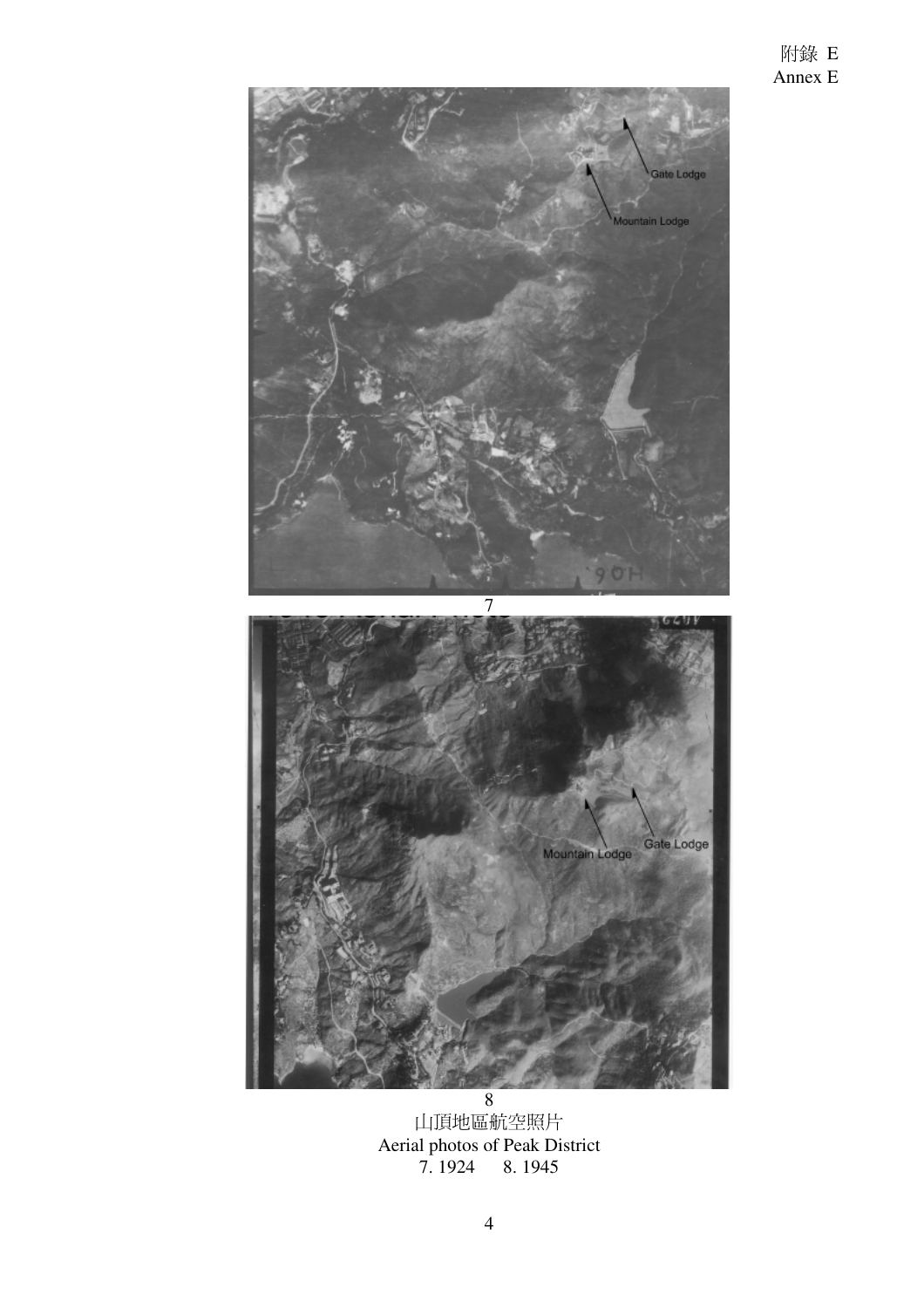

山頂地區航空照片 Aerial photos of Peak District 7. 1924 8. 1945